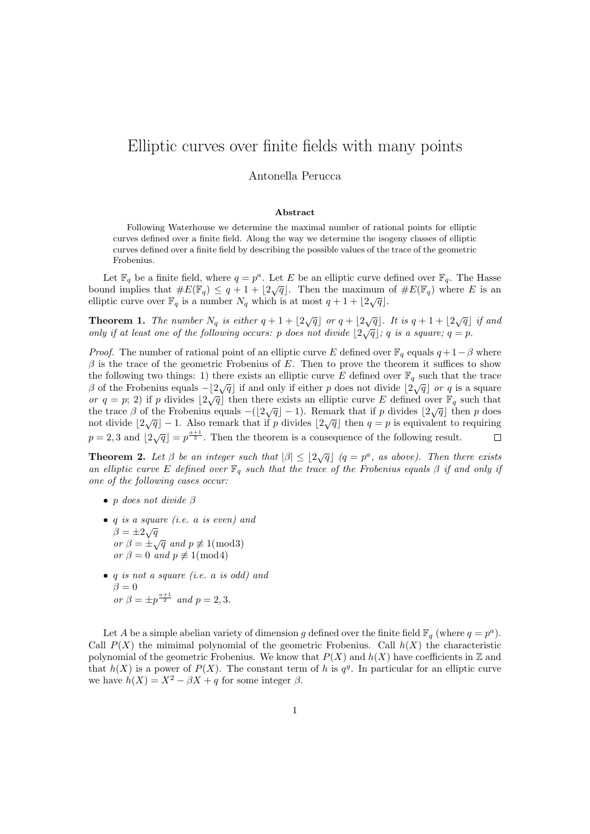## Elliptic curves over finite fields with many points

## Antonella Perucca

## Abstract

Following Waterhouse we determine the maximal number of rational points for elliptic curves defined over a finite field. Along the way we determine the isogeny classes of elliptic curves defined over a finite field by describing the possible values of the trace of the geometric Frobenius.

Let  $\mathbb{F}_q$  be a finite field, where  $q = p^a$ . Let E be an elliptic curve defined over  $\mathbb{F}_q$ . The Hasse bound implies that  $\#E(\mathbb{F}_q) \leq q + 1 + \lfloor 2\sqrt{q} \rfloor$ . Then the maximum of  $\#E(\mathbb{F}_q)$  where E is an elliptic curve over  $\mathbb{F}_q$  is a number  $N_q$  which is at most  $q + 1 + \lfloor 2\sqrt{q} \rfloor$ .

**Theorem 1.** The number  $N_q$  is either  $q + 1 + \lfloor 2\sqrt{q} \rfloor$  or  $q + \lfloor 2\sqrt{q} \rfloor$ . It is  $q + 1 + \lfloor 2\sqrt{q} \rfloor$  if and only if at least one of the following occurs: p does not divide  $|2\sqrt{q}|$ ; q is a square;  $q = p$ .

*Proof.* The number of rational point of an elliptic curve E defined over  $\mathbb{F}_q$  equals  $q + 1 - \beta$  where  $\beta$  is the trace of the geometric Frobenius of E. Then to prove the theorem it suffices to show the following two things: 1) there exists an elliptic curve E defined over  $\mathbb{F}_q$  such that the trace β of the Frobenius equals  $-|2\sqrt{q}|$  if and only if either p does not divide  $|2\sqrt{q}|$  or q is a square or q = p; 2) if p divides  $\lfloor 2\sqrt{q} \rfloor$  then there exists an elliptic curve E defined over  $\mathbb{F}_q$  such that  $\mathcal{O}(q-p, 2)$  if p divides [2 $\sqrt{q}$ ] then there exists an emptic curve E defined over  $\mathbb{F}_q$  such that the trace  $\beta$  of the Frobenius equals  $-(2\sqrt{q})-1$ ). Remark that if p divides  $|2\sqrt{q}|$  then p does not divide  $\left[\frac{2\sqrt{q}}{1}\right] - 1$ . Also remark that if p divides  $\left[\frac{2\sqrt{q}}{1}\right]$  then  $q = p$  is equivalent to requiring  $p = 2, 3$  and  $\left| 2\sqrt{q} \right| = p^{\frac{a+1}{2}}$ . Then the theorem is a consequence of the following result.  $\Box$ 

**Theorem 2.** Let  $\beta$  be an integer such that  $|\beta| \le |2\sqrt{q}|$   $(q = p^a,$  as above). Then there exists an elliptic curve E defined over  $\mathbb{F}_q$  such that the trace of the Frobenius equals  $\beta$  if and only if one of the following cases occur:

- p does not divide  $\beta$
- q is a square (i.e. a is even) and  $\beta = \pm 2\sqrt{q}$  $\rho = \pm \sqrt{q}$ <br>or  $\beta = \pm \sqrt{q}$  and  $p \not\equiv 1 \pmod{3}$ or  $\beta = 0$  and  $p \not\equiv 1 \pmod{4}$
- q is not a square (i.e. a is odd) and  $\beta = 0$ or  $\beta = \pm p^{\frac{a+1}{2}}$  and  $p = 2, 3$ .

Let A be a simple abelian variety of dimension g defined over the finite field  $\mathbb{F}_q$  (where  $q = p^a$ ). Call  $P(X)$  the mimimal polynomial of the geometric Frobenius. Call  $h(X)$  the characteristic polynomial of the geometric Frobenius. We know that  $P(X)$  and  $h(X)$  have coefficients in  $\mathbb Z$  and that  $h(X)$  is a power of  $P(X)$ . The constant term of h is  $q<sup>g</sup>$ . In particular for an elliptic curve we have  $h(X) = X^2 - \beta X + q$  for some integer  $\beta$ .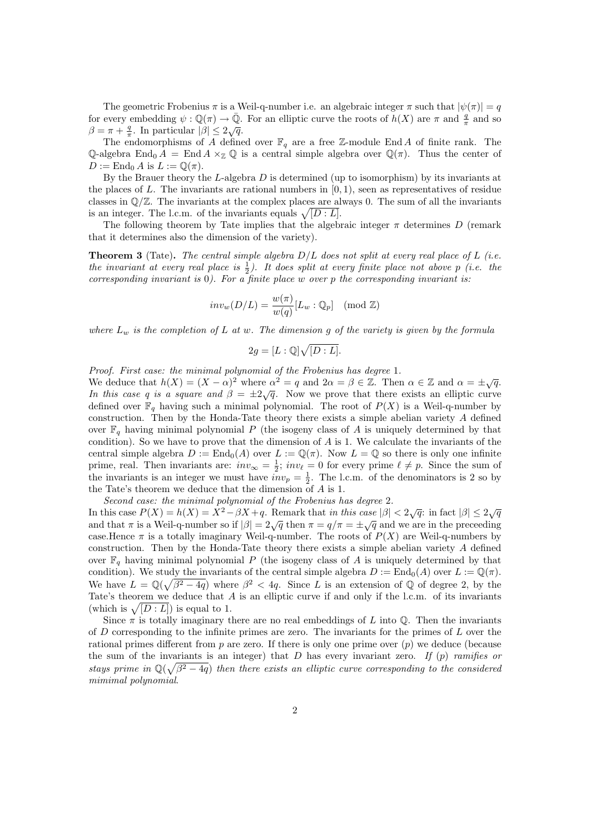The geometric Frobenius  $\pi$  is a Weil-q-number i.e. an algebraic integer  $\pi$  such that  $|\psi(\pi)| = q$ for every embedding  $\psi : \mathbb{Q}(\pi) \to \bar{\mathbb{Q}}$ . For an elliptic curve the roots of  $h(X)$  are  $\pi$  and  $\frac{q}{\pi}$  and so  $\beta = \pi + \frac{q}{\pi}$ . In particular  $|\beta| \leq 2\sqrt{q}$ .

The endomorphisms of A defined over  $\mathbb{F}_q$  are a free Z-module End A of finite rank. The Q-algebra End<sub>0</sub>  $A =$  End  $A \times_{\mathbb{Z}} \mathbb{Q}$  is a central simple algebra over  $\mathbb{Q}(\pi)$ . Thus the center of  $D := \text{End}_0 A$  is  $L := \mathbb{Q}(\pi)$ .

By the Brauer theory the  $L$ -algebra  $D$  is determined (up to isomorphism) by its invariants at the places of  $L$ . The invariants are rational numbers in  $[0, 1)$ , seen as representatives of residue classes in  $\mathbb{Q}/\mathbb{Z}$ . The invariants at the complex places are always 0. The sum of all the invariants is an integer. The l.c.m. of the invariants equals  $\sqrt{[D : L]}$ .

The following theorem by Tate implies that the algebraic integer  $\pi$  determines D (remark that it determines also the dimension of the variety).

**Theorem 3** (Tate). The central simple algebra  $D/L$  does not split at every real place of L (i.e. the invariant at every real place is  $\frac{1}{2}$ ). It does split at every finite place not above p (i.e. the corresponding invariant is  $0$ ). For a finite place w over p the corresponding invariant is:

$$
inv_w(D/L) = \frac{w(\pi)}{w(q)} [L_w : \mathbb{Q}_p] \pmod{\mathbb{Z}}
$$

where  $L_w$  is the completion of L at w. The dimension g of the variety is given by the formula

$$
2g = [L:\mathbb{Q}]\sqrt{[D:L]}.
$$

Proof. First case: the minimal polynomial of the Frobenius has degree 1.

We deduce that  $h(X) = (X - \alpha)^2$  where  $\alpha^2 = q$  and  $2\alpha = \beta \in \mathbb{Z}$ . Then  $\alpha \in \mathbb{Z}$  and  $\alpha = \pm \sqrt{q}$ . In this case q is a square and  $\beta = \pm 2\sqrt{q}$ . Now we prove that there exists an elliptic curve defined over  $\mathbb{F}_q$  having such a minimal polynomial. The root of  $P(X)$  is a Weil-q-number by construction. Then by the Honda-Tate theory there exists a simple abelian variety A defined over  $\mathbb{F}_q$  having minimal polynomial P (the isogeny class of A is uniquely determined by that condition). So we have to prove that the dimension of  $A$  is 1. We calculate the invariants of the central simple algebra  $D := \text{End}_{0}(A)$  over  $L := \mathbb{Q}(\pi)$ . Now  $L = \mathbb{Q}$  so there is only one infinite prime, real. Then invariants are:  $inv_{\infty} = \frac{1}{2}$ ;  $inv_{\ell} = 0$  for every prime  $\ell \neq p$ . Since the sum of the invariants is an integer we must have  $inv_p = \frac{1}{2}$ . The l.c.m. of the denominators is 2 so by the Tate's theorem we deduce that the dimension of A is 1.

Second case: the minimal polynomial of the Frobenius has degree 2.

In this case  $P(X) = h(X) = X^2 - \beta X + q$ . Remark that *in this case*  $|\beta| < 2\sqrt{q}$ : in fact  $|\beta| \leq 2\sqrt{q}$ and that  $\pi$  is a Weil-q-number so if  $|\beta| = 2\sqrt{q}$  then  $\pi = q/\pi = \pm \sqrt{q}$  and we are in the preceeding case.Hence  $\pi$  is a totally imaginary Weil-q-number. The roots of  $P(X)$  are Weil-q-numbers by construction. Then by the Honda-Tate theory there exists a simple abelian variety  $A$  defined over  $\mathbb{F}_q$  having minimal polynomial P (the isogeny class of A is uniquely determined by that condition). We study the invariants of the central simple algebra  $D := \text{End}_{0}(A)$  over  $L := \mathbb{Q}(\pi)$ . We have  $L = \mathbb{Q}(\sqrt{\beta^2 - 4q})$  where  $\beta^2 < 4q$ . Since L is an extension of Q of degree 2, by the Tate's theorem we deduce that A is an elliptic curve if and only if the l.c.m. of its invariants (which is  $\sqrt{[D : L]}$ ) is equal to 1.

Since  $\pi$  is totally imaginary there are no real embeddings of L into Q. Then the invariants of  $D$  corresponding to the infinite primes are zero. The invariants for the primes of  $L$  over the rational primes different from  $p$  are zero. If there is only one prime over  $(p)$  we deduce (because the sum of the invariants is an integer) that  $D$  has every invariant zero. If  $(p)$  ramifies or stays prime in  $\mathbb{Q}(\sqrt{\beta^2-4q})$  then there exists an elliptic curve corresponding to the considered mimimal polynomial.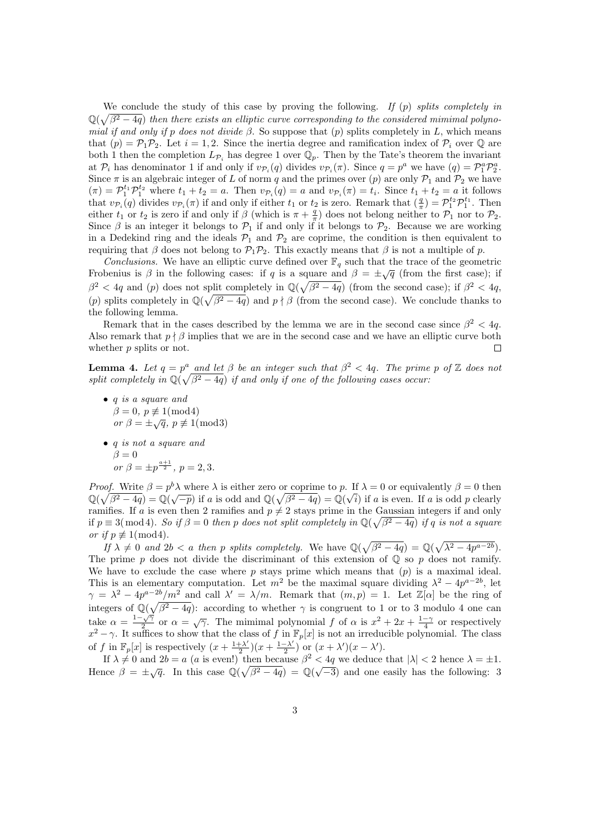We conclude the study of this case by proving the following. If  $(p)$  splits completely in  $\mathbb{Q}(\sqrt{\beta^2-4q})$  then there exists an elliptic curve corresponding to the considered mimimal polynomial if and only if p does not divide β. So suppose that  $(p)$  splits completely in L, which means that  $(p) = \mathcal{P}_1 \mathcal{P}_2$ . Let  $i = 1, 2$ . Since the inertia degree and ramification index of  $\mathcal{P}_i$  over  $\mathbb{Q}$  are both 1 then the completion  $L_{\mathcal{P}_i}$  has degree 1 over  $\mathbb{Q}_p$ . Then by the Tate's theorem the invariant at  $\mathcal{P}_i$  has denominator 1 if and only if  $v_{\mathcal{P}_i}(q)$  divides  $v_{\mathcal{P}_i}(\pi)$ . Since  $q = p^a$  we have  $(q) = \mathcal{P}_1^a \mathcal{P}_2^a$ . Since  $\pi$  is an algebraic integer of L of norm q and the primes over (p) are only  $\mathcal{P}_1$  and  $\mathcal{P}_2$  we have  $(\pi) = \mathcal{P}_1^{t_1} \mathcal{P}_1^{t_2}$  where  $t_1 + t_2 = a$ . Then  $v_{\mathcal{P}_i}(q) = a$  and  $v_{\mathcal{P}_i}(\pi) = t_i$ . Since  $t_1 + t_2 = a$  it follows that  $v_{\mathcal{P}_i}(q)$  divides  $v_{\mathcal{P}_i}(\pi)$  if and only if either  $t_1$  or  $t_2$  is zero. Remark that  $\left(\frac{q}{\pi}\right) = \mathcal{P}_1^{t_2} \mathcal{P}_1^{t_1}$ . Then either  $t_1$  or  $t_2$  is zero if and only if  $\beta$  (which is  $\pi + \frac{q}{\pi}$ ) does not belong neither to  $\mathcal{P}_1$  nor to  $\mathcal{P}_2$ . Since  $\beta$  is an integer it belongs to  $\mathcal{P}_1$  if and only if it belongs to  $\mathcal{P}_2$ . Because we are working in a Dedekind ring and the ideals  $P_1$  and  $P_2$  are coprime, the condition is then equivalent to requiring that  $\beta$  does not belong to  $\mathcal{P}_1\mathcal{P}_2$ . This exactly means that  $\beta$  is not a multiple of p.

Conclusions. We have an elliptic curve defined over  $\mathbb{F}_q$  such that the trace of the geometric Frobenius is  $\beta$  in the following cases: if q is a square and  $\beta = \pm \sqrt{q}$  (from the first case); if  $\beta^2 < 4q$  and (p) does not split completely in  $\mathbb{Q}(\sqrt{\beta^2-4q})$  (from the second case); if  $\beta^2 < 4q$ , (p) splits completely in  $\mathbb{Q}(\sqrt{\beta^2-4q})$  and  $p \nmid \beta$  (from the second case). We conclude thanks to the following lemma.

Remark that in the cases described by the lemma we are in the second case since  $\beta^2 < 4q$ . Also remark that  $p \nmid \beta$  implies that we are in the second case and we have an elliptic curve both whether  $p$  splits or not. П

**Lemma 4.** Let  $q = p^a$  and let  $\beta$  be an integer such that  $\beta^2 < 4q$ . The prime p of  $\mathbb{Z}$  does not split completely in  $\mathbb{Q}(\sqrt{\beta^2-4q})$  if and only if one of the following cases occur:

- q is a square and  $\beta = 0, p \not\equiv 1 \pmod{4}$  $\begin{array}{c} \rho = 0, \ p \neq 1 \pmod{4} \\ \text{or } \beta = \pm \sqrt{q}, \ p \not\equiv 1 \pmod{3} \end{array}$
- q is not a square and  $\beta = 0$ or  $\beta = \pm p^{\frac{a+1}{2}}, p = 2, 3.$

*Proof.* Write  $\beta = p^b \lambda$  where  $\lambda$  is either zero or coprime to p. If  $\lambda = 0$  or equivalently  $\beta = 0$  then  $\mathbb{Q}(\sqrt{\beta^2-4q}) = \mathbb{Q}(\sqrt{-p})$  if a is odd and  $\mathbb{Q}(\sqrt{\beta^2-4q}) = \mathbb{Q}(\sqrt{i})$  if a is even. If a is odd p clearly ramifies. If a is even then 2 ramifies and  $p \neq 2$  stays prime in the Gaussian integers if and only if  $p \equiv 3 \pmod{4}$ . So if  $\beta = 0$  then p does not split completely in  $\mathbb{Q}(\sqrt{\beta^2 - 4q})$  if q is not a square or if  $p \not\equiv 1 \pmod{4}$ .

If  $\lambda \neq 0$  and  $2b < a$  then p splits completely. We have  $\mathbb{Q}(\sqrt{\beta^2 - 4q}) = \mathbb{Q}(\sqrt{\lambda^2 - 4p^{a-2b}})$ . The prime p does not divide the discriminant of this extension of  $\mathbb Q$  so p does not ramify. We have to exclude the case where  $p$  stays prime which means that  $(p)$  is a maximal ideal. This is an elementary computation. Let  $m^2$  be the maximal square dividing  $\lambda^2 - 4p^{a-2b}$ , let  $\gamma = \lambda^2 - 4p^{a-2b}/m^2$  and call  $\lambda' = \lambda/m$ . Remark that  $(m, p) = 1$ . Let  $\mathbb{Z}[\alpha]$  be the ring of integers of  $\mathbb{Q}(\sqrt{\beta^2-4q})$ : according to whether  $\gamma$  is congruent to 1 or to 3 modulo 4 one can take  $\alpha = \frac{1-\sqrt{\gamma}}{2}$  $\frac{\sqrt{y}}{2}$  or  $\alpha = \sqrt{y}$ . The mimimal polynomial f of  $\alpha$  is  $x^2 + 2x + \frac{1-\gamma}{4}$  or respectively  $x^2 - \gamma$ . It suffices to show that the class of f in  $\mathbb{F}_p[x]$  is not an irreducible polynomial. The class of f in  $\mathbb{F}_p[x]$  is respectively  $\left(x+\frac{1+\lambda'}{2}\right)$  $\frac{+\lambda'}{2}(x+\frac{1-\lambda'}{2})$  $\frac{-\lambda'}{2}$ ) or  $(x + \lambda')(x - \lambda')$ .

If  $\lambda \neq 0$  and  $2b = a$  (a is even!) then because  $\beta^2 < 4q$  we deduce that  $|\lambda| < 2$  hence  $\lambda = \pm 1$ . Hence  $\beta = \pm \sqrt{q}$ . In this case  $\mathbb{Q}(\sqrt{\beta^2 - 4q}) = \mathbb{Q}(\sqrt{-3})$  and one easily has the following: 3